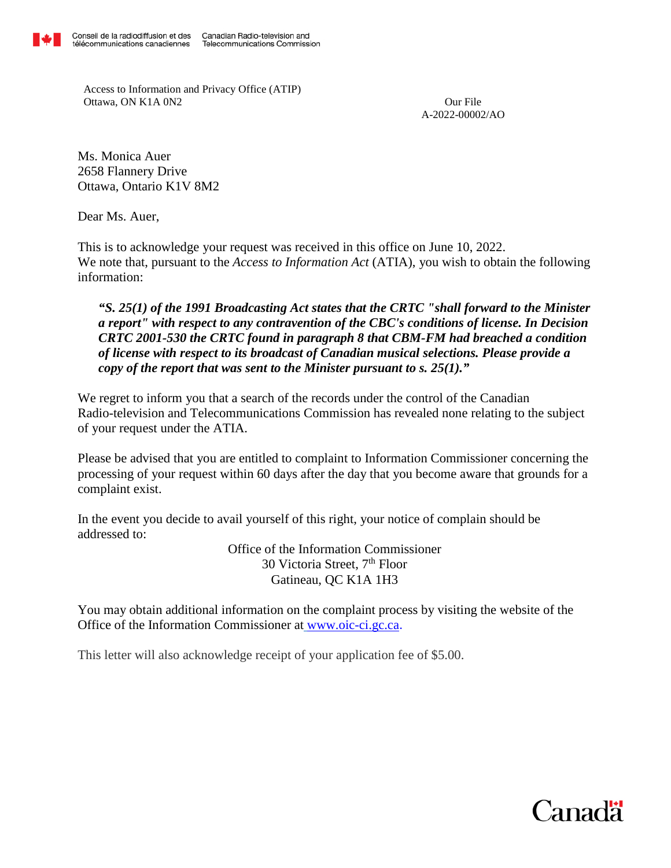Access to Information and Privacy Office (ATIP) Ottawa, ON K1A 0N2 Our File

A-2022-00002/AO

Ms. Monica Auer 2658 Flannery Drive Ottawa, Ontario K1V 8M2

Dear Ms. Auer,

This is to acknowledge your request was received in this office on June 10, 2022. We note that, pursuant to the *Access to Information Act* (ATIA), you wish to obtain the following information:

*"S. 25(1) of the 1991 Broadcasting Act states that the CRTC "shall forward to the Minister a report" with respect to any contravention of the CBC's conditions of license. In Decision CRTC 2001-530 the CRTC found in paragraph 8 that CBM-FM had breached a condition of license with respect to its broadcast of Canadian musical selections. Please provide a copy of the report that was sent to the Minister pursuant to s. 25(1)."* 

We regret to inform you that a search of the records under the control of the Canadian Radio-television and Telecommunications Commission has revealed none relating to the subject of your request under the ATIA.

Please be advised that you are entitled to complaint to Information Commissioner concerning the processing of your request within 60 days after the day that you become aware that grounds for a complaint exist.

In the event you decide to avail yourself of this right, your notice of complain should be addressed to:

> Office of the Information Commissioner 30 Victoria Street, 7th Floor Gatineau, QC K1A 1H3

You may obtain additional information on the complaint process by visiting the website of the Office of the Information Commissioner at [www.oic-ci.gc.ca](http://www.oic-ci.gc.ca/).

This letter will also acknowledge receipt of your application fee of \$5.00.